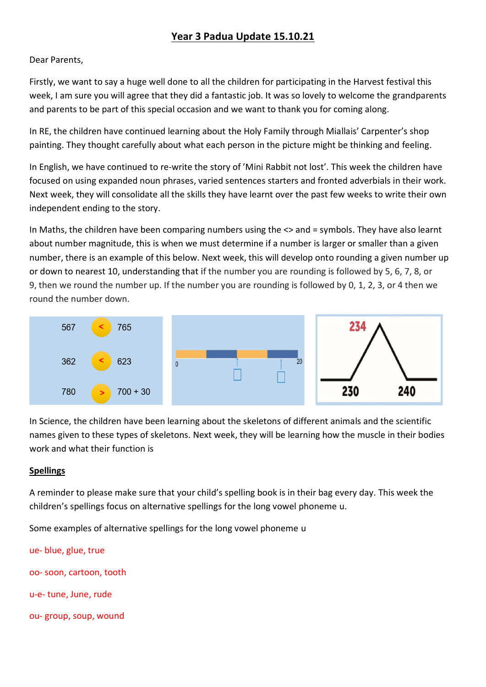# **Year 3 Padua Update 15.10.21**

#### Dear Parents,

Firstly, we want to say a huge well done to all the children for participating in the Harvest festival this week, I am sure you will agree that they did a fantastic job. It was so lovely to welcome the grandparents and parents to be part of this special occasion and we want to thank you for coming along.

In RE, the children have continued learning about the Holy Family through Miallais' Carpenter's shop painting. They thought carefully about what each person in the picture might be thinking and feeling.

In English, we have continued to re-write the story of 'Mini Rabbit not lost'. This week the children have focused on using expanded noun phrases, varied sentences starters and fronted adverbials in their work. Next week, they will consolidate all the skills they have learnt over the past few weeks to write their own independent ending to the story.

In Maths, the children have been comparing numbers using the <> and = symbols. They have also learnt about number magnitude, this is when we must determine if a number is larger or smaller than a given number, there is an example of this below. Next week, this will develop onto rounding a given number up or down to nearest 10, understanding that if the number you are rounding is followed by 5, 6, 7, 8, or 9, then we round the number up. If the number you are rounding is followed by 0, 1, 2, 3, or 4 then we round the number down.



In Science, the children have been learning about the skeletons of different animals and the scientific names given to these types of skeletons. Next week, they will be learning how the muscle in their bodies work and what their function is

#### **Spellings**

A reminder to please make sure that your child's spelling book is in their bag every day. This week the children's spellings focus on alternative spellings for the long vowel phoneme u.

Some examples of alternative spellings for the long vowel phoneme u

ue- blue, glue, true oo- soon, cartoon, tooth u-e- tune, June, rude ou- group, soup, wound